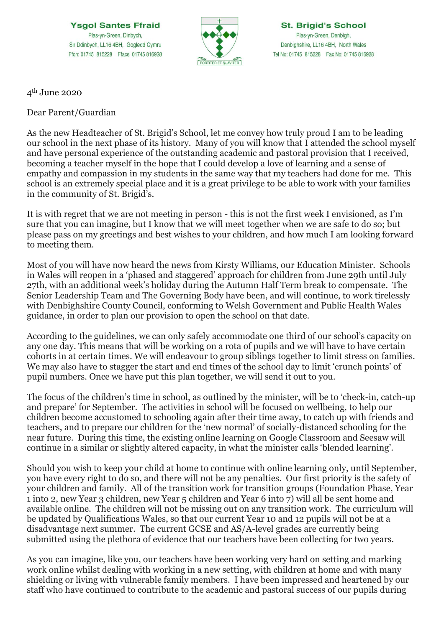**Ysgol Santes Ffraid** Plas-yn-Green, Dinbych, Sir Ddinbych, LL16 4BH, Gogledd Cymru Ffon: 01745 815228 Ffacs: 01745 816928



**St. Brigid's School** Plas-yn-Green, Denbigh, Denbighshire, LL16 4BH, North Wales Tel No: 01745 815228 Fax No: 01745 816928

4th June 2020

Dear Parent/Guardian

As the new Headteacher of St. Brigid's School, let me convey how truly proud I am to be leading our school in the next phase of its history. Many of you will know that I attended the school myself and have personal experience of the outstanding academic and pastoral provision that I received, becoming a teacher myself in the hope that I could develop a love of learning and a sense of empathy and compassion in my students in the same way that my teachers had done for me. This school is an extremely special place and it is a great privilege to be able to work with your families in the community of St. Brigid's.

It is with regret that we are not meeting in person - this is not the first week I envisioned, as I'm sure that you can imagine, but I know that we will meet together when we are safe to do so; but please pass on my greetings and best wishes to your children, and how much I am looking forward to meeting them.

Most of you will have now heard the news from Kirsty Williams, our Education Minister. Schools in Wales will reopen in a 'phased and staggered' approach for children from June 29th until July 27th, with an additional week's holiday during the Autumn Half Term break to compensate. The Senior Leadership Team and The Governing Body have been, and will continue, to work tirelessly with Denbighshire County Council, conforming to Welsh Government and Public Health Wales guidance, in order to plan our provision to open the school on that date.

According to the guidelines, we can only safely accommodate one third of our school's capacity on any one day. This means that will be working on a rota of pupils and we will have to have certain cohorts in at certain times. We will endeavour to group siblings together to limit stress on families. We may also have to stagger the start and end times of the school day to limit 'crunch points' of pupil numbers. Once we have put this plan together, we will send it out to you.

The focus of the children's time in school, as outlined by the minister, will be to 'check-in, catch-up and prepare' for September. The activities in school will be focused on wellbeing, to help our children become accustomed to schooling again after their time away, to catch up with friends and teachers, and to prepare our children for the 'new normal' of socially-distanced schooling for the near future. During this time, the existing online learning on Google Classroom and Seesaw will continue in a similar or slightly altered capacity, in what the minister calls 'blended learning'.

Should you wish to keep your child at home to continue with online learning only, until September, you have every right to do so, and there will not be any penalties. Our first priority is the safety of your children and family. All of the transition work for transition groups (Foundation Phase, Year 1 into 2, new Year 3 children, new Year 5 children and Year 6 into 7) will all be sent home and available online. The children will not be missing out on any transition work. The curriculum will be updated by Qualifications Wales, so that our current Year 10 and 12 pupils will not be at a disadvantage next summer. The current GCSE and AS/A-level grades are currently being submitted using the plethora of evidence that our teachers have been collecting for two years.

As you can imagine, like you, our teachers have been working very hard on setting and marking work online whilst dealing with working in a new setting, with children at home and with many shielding or living with vulnerable family members. I have been impressed and heartened by our staff who have continued to contribute to the academic and pastoral success of our pupils during